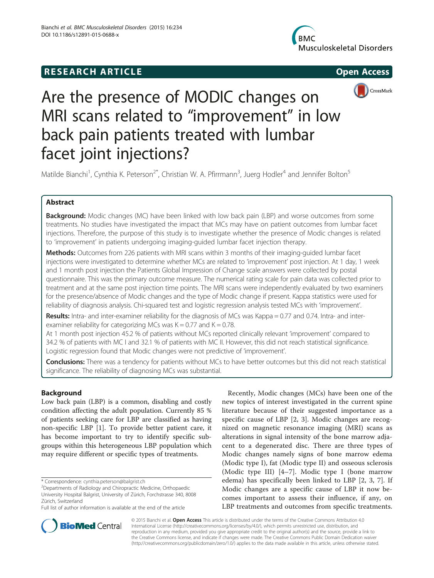## **RESEARCH ARTICLE Example 2014 The SEAR CH ACCESS**







# Are the presence of MODIC changes on MRI scans related to "improvement" in low back pain patients treated with lumbar facet joint injections?

Matilde Bianchi<sup>1</sup>, Cynthia K. Peterson<sup>2\*</sup>, Christian W. A. Pfirrmann<sup>3</sup>, Juerg Hodler<sup>4</sup> and Jennifer Bolton<sup>5</sup>

## Abstract

**Background:** Modic changes (MC) have been linked with low back pain (LBP) and worse outcomes from some treatments. No studies have investigated the impact that MCs may have on patient outcomes from lumbar facet injections. Therefore, the purpose of this study is to investigate whether the presence of Modic changes is related to 'improvement' in patients undergoing imaging-guided lumbar facet injection therapy.

Methods: Outcomes from 226 patients with MRI scans within 3 months of their imaging-guided lumbar facet injections were investigated to determine whether MCs are related to 'improvement' post injection. At 1 day, 1 week and 1 month post injection the Patients Global Impression of Change scale answers were collected by postal questionnaire. This was the primary outcome measure. The numerical rating scale for pain data was collected prior to treatment and at the same post injection time points. The MRI scans were independently evaluated by two examiners for the presence/absence of Modic changes and the type of Modic change if present. Kappa statistics were used for reliability of diagnosis analysis. Chi-squared test and logistic regression analysis tested MCs with 'improvement'.

**Results:** Intra- and inter-examiner reliability for the diagnosis of MCs was Kappa = 0.77 and 0.74. Intra- and interexaminer reliability for categorizing MCs was  $K = 0.77$  and  $K = 0.78$ .

At 1 month post injection 45.2 % of patients without MCs reported clinically relevant 'improvement' compared to 34.2 % of patients with MC I and 32.1 % of patients with MC II. However, this did not reach statistical significance. Logistic regression found that Modic changes were not predictive of 'improvement'.

**Conclusions:** There was a tendency for patients without MCs to have better outcomes but this did not reach statistical significance. The reliability of diagnosing MCs was substantial.

## Background

Low back pain (LBP) is a common, disabling and costly condition affecting the adult population. Currently 85 % of patients seeking care for LBP are classified as having non-specific LBP [\[1](#page-7-0)]. To provide better patient care, it has become important to try to identify specific subgroups within this heterogeneous LBP population which may require different or specific types of treatments.

Recently, Modic changes (MCs) have been one of the new topics of interest investigated in the current spine literature because of their suggested importance as a specific cause of LBP [\[2](#page-7-0), [3\]](#page-8-0). Modic changes are recognized on magnetic resonance imaging (MRI) scans as alterations in signal intensity of the bone marrow adjacent to a degenerated disc. There are three types of Modic changes namely signs of bone marrow edema (Modic type I), fat (Modic type II) and osseous sclerosis (Modic type III) [[4](#page-8-0)–[7\]](#page-8-0). Modic type I (bone marrow edema) has specifically been linked to LBP [[2,](#page-7-0) [3, 7\]](#page-8-0). If Modic changes are a specific cause of LBP it now becomes important to assess their influence, if any, on LBP treatments and outcomes from specific treatments.



© 2015 Bianchi et al. Open Access This article is distributed under the terms of the Creative Commons Attribution 4.0 International License [\(http://creativecommons.org/licenses/by/4.0/](http://creativecommons.org/licenses/by/4.0/)), which permits unrestricted use, distribution, and reproduction in any medium, provided you give appropriate credit to the original author(s) and the source, provide a link to the Creative Commons license, and indicate if changes were made. The Creative Commons Public Domain Dedication waiver [\(http://creativecommons.org/publicdomain/zero/1.0/](http://creativecommons.org/publicdomain/zero/1.0/)) applies to the data made available in this article, unless otherwise stated.

<sup>\*</sup> Correspondence: [cynthia.peterson@balgrist.ch](mailto:cynthia.peterson@balgrist.ch) <sup>2</sup>

Departments of Radiology and Chiropractic Medicine, Orthopaedic University Hospital Balgrist, University of Zürich, Forchstrasse 340, 8008 Zürich, Switzerland

Full list of author information is available at the end of the article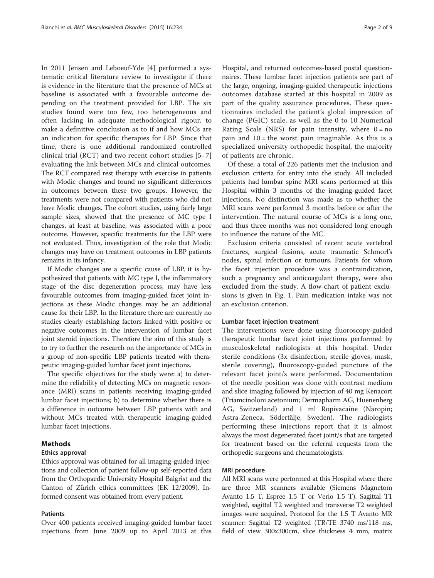In 2011 Jensen and Leboeuf-Yde [\[4](#page-8-0)] performed a systematic critical literature review to investigate if there is evidence in the literature that the presence of MCs at baseline is associated with a favourable outcome depending on the treatment provided for LBP. The six studies found were too few, too heterogeneous and often lacking in adequate methodological rigour, to make a definitive conclusion as to if and how MCs are an indication for specific therapies for LBP. Since that time, there is one additional randomized controlled clinical trial (RCT) and two recent cohort studies [\[5](#page-8-0)–[7](#page-8-0)] evaluating the link between MCs and clinical outcomes. The RCT compared rest therapy with exercise in patients with Modic changes and found no significant differences in outcomes between these two groups. However, the treatments were not compared with patients who did not have Modic changes. The cohort studies, using fairly large sample sizes, showed that the presence of MC type I changes, at least at baseline, was associated with a poor outcome. However, specific treatments for the LBP were not evaluated. Thus, investigation of the role that Modic changes may have on treatment outcomes in LBP patients remains in its infancy.

If Modic changes are a specific cause of LBP, it is hypothesized that patients with MC type I, the inflammatory stage of the disc degeneration process, may have less favourable outcomes from imaging-guided facet joint injections as these Modic changes may be an additional cause for their LBP. In the literature there are currently no studies clearly establishing factors linked with positive or negative outcomes in the intervention of lumbar facet joint steroid injections. Therefore the aim of this study is to try to further the research on the importance of MCs in a group of non-specific LBP patients treated with therapeutic imaging-guided lumbar facet joint injections.

The specific objectives for the study were: a) to determine the reliability of detecting MCs on magnetic resonance (MRI) scans in patients receiving imaging-guided lumbar facet injections; b) to determine whether there is a difference in outcome between LBP patients with and without MCs treated with therapeutic imaging-guided lumbar facet injections.

## Methods

#### Ethics approval

Ethics approval was obtained for all imaging-guided injections and collection of patient follow-up self-reported data from the Orthopaedic University Hospital Balgrist and the Canton of Zürich ethics committees (EK 12/2009). Informed consent was obtained from every patient.

#### Patients

Over 400 patients received imaging-guided lumbar facet injections from June 2009 up to April 2013 at this Hospital, and returned outcomes-based postal questionnaires. These lumbar facet injection patients are part of the large, ongoing, imaging-guided therapeutic injections outcomes database started at this hospital in 2009 as part of the quality assurance procedures. These questionnaires included the patient's global impression of change (PGIC) scale, as well as the 0 to 10 Numerical Rating Scale (NRS) for pain intensity, where  $0 = no$ pain and  $10$  = the worst pain imaginable. As this is a specialized university orthopedic hospital, the majority of patients are chronic.

Of these, a total of 226 patients met the inclusion and exclusion criteria for entry into the study. All included patients had lumbar spine MRI scans performed at this Hospital within 3 months of the imaging-guided facet injections. No distinction was made as to whether the MRI scans were performed 3 months before or after the intervention. The natural course of MCs is a long one, and thus three months was not considered long enough to influence the nature of the MC.

Exclusion criteria consisted of recent acute vertebral fractures, surgical fusions, acute traumatic Schmorl's nodes, spinal infection or tumours. Patients for whom the facet injection procedure was a contraindication, such a pregnancy and anticoagulant therapy, were also excluded from the study. A flow-chart of patient exclusions is given in Fig. [1](#page-2-0). Pain medication intake was not an exclusion criterion.

#### Lumbar facet injection treatment

The interventions were done using fluoroscopy-guided therapeutic lumbar facet joint injections performed by musculoskeletal radiologists at this hospital. Under sterile conditions (3x disinfection, sterile gloves, mask, sterile covering), fluoroscopy-guided puncture of the relevant facet joint/s were performed. Documentation of the needle position was done with contrast medium and slice imaging followed by injection of 40 mg Kenacort (Triamcinoloni acetonium; Dermapharm AG, Huenenberg AG, Switzerland) and 1 ml Ropivacaine (Naropin; Astra-Zeneca, Södertälje, Sweden). The radiologists performing these injections report that it is almost always the most degenerated facet joint/s that are targeted for treatment based on the referral requests from the orthopedic surgeons and rheumatologists.

#### MRI procedure

All MRI scans were performed at this Hospital where there are three MR scanners available (Siemens Magnetom Avanto 1.5 T, Espree 1.5 T or Verio 1.5 T). Sagittal T1 weighted, sagittal T2 weighted and transverse T2 weighted images were acquired. Protocol for the 1.5 T Avanto MR scanner: Sagittal T2 weighted (TR/TE 3740 ms/118 ms, field of view 300x300cm, slice thickness 4 mm, matrix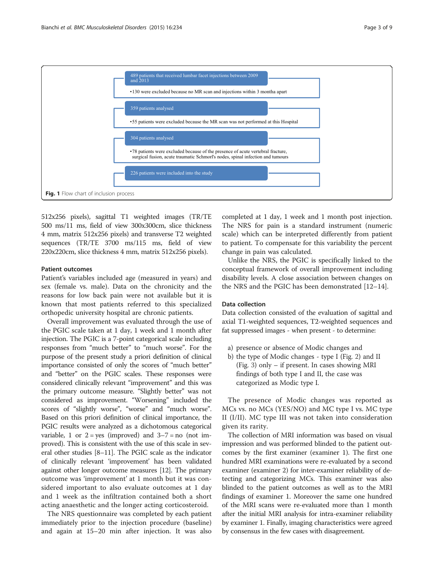<span id="page-2-0"></span>

512x256 pixels), sagittal T1 weighted images (TR/TE 500 ms/11 ms, field of view 300x300cm, slice thickness 4 mm, matrix 512x256 pixels) and transverse T2 weighted sequences (TR/TE 3700 ms/115 ms, field of view 220x220cm, slice thickness 4 mm, matrix 512x256 pixels).

#### Patient outcomes

Patient's variables included age (measured in years) and sex (female vs. male). Data on the chronicity and the reasons for low back pain were not available but it is known that most patients referred to this specialized orthopedic university hospital are chronic patients.

Overall improvement was evaluated through the use of the PGIC scale taken at 1 day, 1 week and 1 month after injection. The PGIC is a 7-point categorical scale including responses from "much better" to "much worse". For the purpose of the present study a priori definition of clinical importance consisted of only the scores of "much better" and "better" on the PGIC scales. These responses were considered clinically relevant "improvement" and this was the primary outcome measure. "Slightly better" was not considered as improvement. "Worsening" included the scores of "slightly worse", "worse" and "much worse". Based on this priori definition of clinical importance, the PGIC results were analyzed as a dichotomous categorical variable, 1 or  $2 = yes$  (improved) and  $3-7 = no$  (not improved). This is consistent with the use of this scale in several other studies [[8](#page-8-0)–[11\]](#page-8-0). The PGIC scale as the indicator of clinically relevant 'improvement' has been validated against other longer outcome measures [\[12\]](#page-8-0). The primary outcome was 'improvement' at 1 month but it was considered important to also evaluate outcomes at 1 day and 1 week as the infiltration contained both a short acting anaesthetic and the longer acting corticosteroid.

The NRS questionnaire was completed by each patient immediately prior to the injection procedure (baseline) and again at 15–20 min after injection. It was also completed at 1 day, 1 week and 1 month post injection. The NRS for pain is a standard instrument (numeric scale) which can be interpreted differently from patient to patient. To compensate for this variability the percent change in pain was calculated.

Unlike the NRS, the PGIC is specifically linked to the conceptual framework of overall improvement including disability levels. A close association between changes on the NRS and the PGIC has been demonstrated [[12](#page-8-0)–[14](#page-8-0)].

#### Data collection

Data collection consisted of the evaluation of sagittal and axial T1-weighted sequences, T2-weighted sequences and fat suppressed images - when present - to determine:

- a) presence or absence of Modic changes and
- b) the type of Modic changes type I (Fig. [2](#page-3-0)) and II (Fig. [3](#page-3-0)) only – if present. In cases showing MRI findings of both type I and II, the case was categorized as Modic type I.

The presence of Modic changes was reported as MCs vs. no MCs (YES/NO) and MC type I vs. MC type II (I/II). MC type III was not taken into consideration given its rarity.

The collection of MRI information was based on visual impression and was performed blinded to the patient outcomes by the first examiner (examiner 1). The first one hundred MRI examinations were re-evaluated by a second examiner (examiner 2) for inter-examiner reliability of detecting and categorizing MCs. This examiner was also blinded to the patient outcomes as well as to the MRI findings of examiner 1. Moreover the same one hundred of the MRI scans were re-evaluated more than 1 month after the initial MRI analysis for intra-examiner reliability by examiner 1. Finally, imaging characteristics were agreed by consensus in the few cases with disagreement.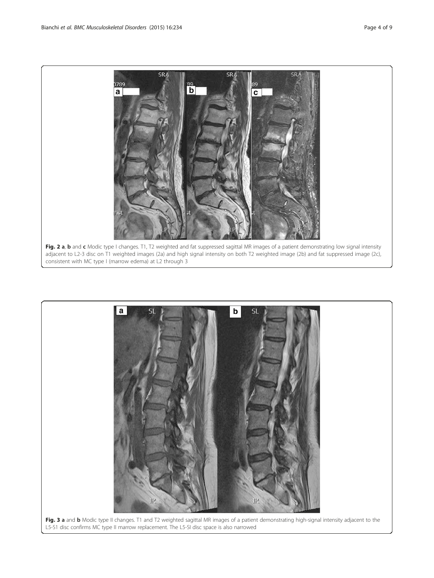<span id="page-3-0"></span>



Fig. 3 a and b Modic type II changes. T1 and T2 weighted sagittal MR images of a patient demonstrating high-signal intensity adjacent to the L5-S1 disc confirms MC type II marrow replacement. The L5-SI disc space is also narrowed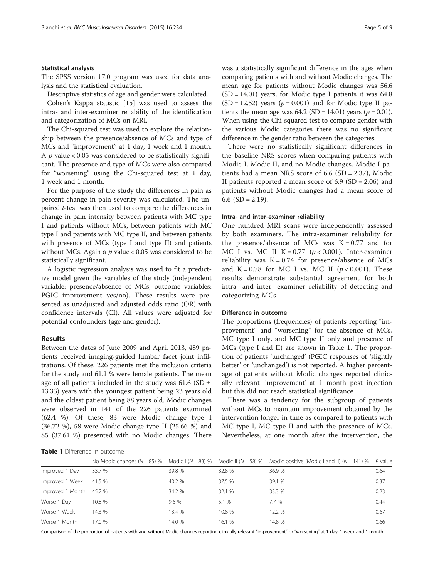#### Statistical analysis

The SPSS version 17.0 program was used for data analysis and the statistical evaluation.

Descriptive statistics of age and gender were calculated.

Cohen's Kappa statistic [\[15](#page-8-0)] was used to assess the intra- and inter-examiner reliability of the identification and categorization of MCs on MRI.

The Chi-squared test was used to explore the relationship between the presence/absence of MCs and type of MCs and "improvement" at 1 day, 1 week and 1 month. A  $p$  value < 0.05 was considered to be statistically significant. The presence and type of MCs were also compared for "worsening" using the Chi-squared test at 1 day, 1 week and 1 month.

For the purpose of the study the differences in pain as percent change in pain severity was calculated. The unpaired *t*-test was then used to compare the differences in change in pain intensity between patients with MC type I and patients without MCs, between patients with MC type I and patients with MC type II, and between patients with presence of MCs (type I and type II) and patients without MCs. Again a  $p$  value < 0.05 was considered to be statistically significant.

A logistic regression analysis was used to fit a predictive model given the variables of the study (independent variable: presence/absence of MCs; outcome variables: PGIC improvement yes/no). These results were presented as unadjusted and adjusted odds ratio (OR) with confidence intervals (CI). All values were adjusted for potential confounders (age and gender).

#### Results

Between the dates of June 2009 and April 2013, 489 patients received imaging-guided lumbar facet joint infiltrations. Of these, 226 patients met the inclusion criteria for the study and 61.1 % were female patients. The mean age of all patients included in the study was 61.6 (SD  $\pm$ 13.33) years with the youngest patient being 23 years old and the oldest patient being 88 years old. Modic changes were observed in 141 of the 226 patients examined (62.4 %). Of these, 83 were Modic change type I (36.72 %), 58 were Modic change type II (25.66 %) and 85 (37.61 %) presented with no Modic changes. There

Table 1 Difference in outcome

was a statistically significant difference in the ages when comparing patients with and without Modic changes. The mean age for patients without Modic changes was 56.6  $(SD = 14.01)$  years, for Modic type I patients it was 64.8  $(SD = 12.52)$  years  $(p = 0.001)$  and for Modic type II patients the mean age was  $64.2$  (SD = 14.01) years ( $p = 0.01$ ). When using the Chi-squared test to compare gender with the various Modic categories there was no significant difference in the gender ratio between the categories.

There were no statistically significant differences in the baseline NRS scores when comparing patients with Modic I, Modic II, and no Modic changes. Modic I patients had a mean NRS score of 6.6 (SD = 2.37), Modic II patients reported a mean score of  $6.9$  (SD = 2.06) and patients without Modic changes had a mean score of 6.6 (SD = 2.19).

#### Intra- and inter-examiner reliability

One hundred MRI scans were independently assessed by both examiners. The intra-examiner reliability for the presence/absence of MCs was  $K = 0.77$  and for MC I vs. MC II  $K = 0.77$  ( $p < 0.001$ ). Inter-examiner reliability was  $K = 0.74$  for presence/absence of MCs and  $K = 0.78$  for MC I vs. MC II ( $p < 0.001$ ). These results demonstrate substantial agreement for both intra- and inter- examiner reliability of detecting and categorizing MCs.

#### Difference in outcome

The proportions (frequencies) of patients reporting "improvement" and "worsening" for the absence of MCs, MC type I only, and MC type II only and presence of MCs (type I and II) are shown in Table 1. The proportion of patients 'unchanged' (PGIC responses of 'slightly better' or 'unchanged') is not reported. A higher percentage of patients without Modic changes reported clinically relevant 'improvement' at 1 month post injection but this did not reach statistical significance.

There was a tendency for the subgroup of patients without MCs to maintain improvement obtained by the intervention longer in time as compared to patients with MC type I, MC type II and with the presence of MCs. Nevertheless, at one month after the intervention, the

|                  | No Modic changes $(N = 85)$ % | Modic I (N = 83) % | Modic II ( $N = 58$ ) % | Modic positive (Modic I and II) ( $N = 141$ ) % P value |      |
|------------------|-------------------------------|--------------------|-------------------------|---------------------------------------------------------|------|
| Improved 1 Day   | 33.7 %                        | 39.8 %             | 32.8 %                  | 36.9 %                                                  | 0.64 |
| Improved 1 Week  | 41.5 %                        | 40.2 %             | 37.5 %                  | 39.1 %                                                  | 0.37 |
| Improved 1 Month | 45.2 %                        | 34.2 %             | 32.1 %                  | 33.3 %                                                  | 0.23 |
| Worse 1 Day      | 10.8 %                        | 9.6%               | 5.1 %                   | 7.7 %                                                   | 0.44 |
| Worse 1 Week     | 14.3 %                        | 13.4 %             | 10.8 %                  | 12.2%                                                   | 0.67 |
| Worse 1 Month    | 17.0 %                        | 14.0 %             | 16.1 %                  | 14.8 %                                                  | 0.66 |

Comparison of the proportion of patients with and without Modic changes reporting clinically relevant "improvement" or "worsening" at 1 day, 1 week and 1 month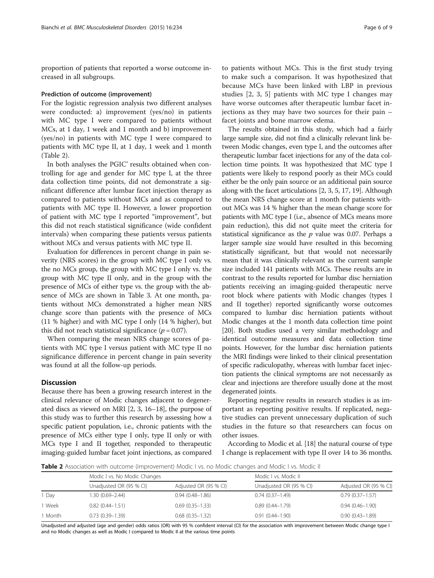proportion of patients that reported a worse outcome increased in all subgroups.

#### Prediction of outcome (improvement)

For the logistic regression analysis two different analyses were conducted: a) improvement (yes/no) in patients with MC type I were compared to patients without MCs, at 1 day, 1 week and 1 month and b) improvement (yes/no) in patients with MC type I were compared to patients with MC type II, at 1 day, 1 week and 1 month (Table 2).

In both analyses the PGIC' results obtained when controlling for age and gender for MC type I, at the three data collection time points, did not demonstrate a significant difference after lumbar facet injection therapy as compared to patients without MCs and as compared to patients with MC type II. However, a lower proportion of patient with MC type I reported "improvement", but this did not reach statistical significance (wide confident intervals) when comparing these patients versus patients without MCs and versus patients with MC type II.

Evaluation for differences in percent change in pain severity (NRS scores) in the group with MC type I only vs. the no MCs group, the group with MC type I only vs. the group with MC type II only, and in the group with the presence of MCs of either type vs. the group with the absence of MCs are shown in Table [3](#page-6-0). At one month, patients without MCs demonstrated a higher mean NRS change score than patients with the presence of MCs (11 % higher) and with MC type I only (14 % higher), but this did not reach statistical significance ( $p = 0.07$ ).

When comparing the mean NRS change scores of patients with MC type I versus patient with MC type II no significance difference in percent change in pain severity was found at all the follow-up periods.

#### **Discussion**

Because there has been a growing research interest in the clinical relevance of Modic changes adjacent to degenerated discs as viewed on MRI [\[2](#page-7-0), [3](#page-8-0), [16](#page-8-0)–[18\]](#page-8-0), the purpose of this study was to further this research by assessing how a specific patient population, i.e., chronic patients with the presence of MCs either type I only, type II only or with MCs type I and II together, responded to therapeutic imaging-guided lumbar facet joint injections, as compared

to patients without MCs. This is the first study trying to make such a comparison. It was hypothesized that because MCs have been linked with LBP in previous studies [[2,](#page-7-0) [3](#page-8-0), [5\]](#page-8-0) patients with MC type I changes may have worse outcomes after therapeutic lumbar facet injections as they may have two sources for their pain – facet joints and bone marrow edema.

The results obtained in this study, which had a fairly large sample size, did not find a clinically relevant link between Modic changes, even type I, and the outcomes after therapeutic lumbar facet injections for any of the data collection time points. It was hypothesized that MC type I patients were likely to respond poorly as their MCs could either be the only pain source or an additional pain source along with the facet articulations [[2](#page-7-0), [3](#page-8-0), [5](#page-8-0), [17, 19](#page-8-0)]. Although the mean NRS change score at 1 month for patients without MCs was 14 % higher than the mean change score for patients with MC type I (i.e., absence of MCs means more pain reduction), this did not quite meet the criteria for statistical significance as the  $p$  value was 0.07. Perhaps a larger sample size would have resulted in this becoming statistically significant, but that would not necessarily mean that it was clinically relevant as the current sample size included 141 patients with MCs. These results are in contrast to the results reported for lumbar disc herniation patients receiving an imaging-guided therapeutic nerve root block where patients with Modic changes (types I and II together) reported significantly worse outcomes compared to lumbar disc herniation patients without Modic changes at the 1 month data collection time point [[20](#page-8-0)]. Both studies used a very similar methodology and identical outcome measures and data collection time points. However, for the lumbar disc herniation patients the MRI findings were linked to their clinical presentation of specific radiculopathy, whereas with lumbar facet injection patients the clinical symptoms are not necessarily as clear and injections are therefore usually done at the most degenerated joints.

Reporting negative results in research studies is as important as reporting positive results. If replicated, negative studies can prevent unnecessary duplication of such studies in the future so that researchers can focus on other issues.

According to Modic et al. [[18](#page-8-0)] the natural course of type I change is replacement with type II over 14 to 36 months.

Table 2 Association with outcome (improvement) Modic I vs. no Modic changes and Modic I vs. Modic II

|         |                         | Modic I vs. No Modic Changes |                         | Modic I vs. Modic II  |  |  |
|---------|-------------------------|------------------------------|-------------------------|-----------------------|--|--|
|         | Unadjusted OR (95 % CI) | Adjusted OR (95 % CI)        | Unadjusted OR (95 % CI) | Adjusted OR (95 % CI) |  |  |
| 1 Day   | $1.30(0.69 - 2.44)$     | $0.94(0.48 - 1.86)$          | $0.74(0.37 - 1.49)$     | $0.79(0.37 - 1.57)$   |  |  |
| 1 Week  | $0.82(0.44 - 1.51)$     | $0.69(0.35 - 1.33)$          | $0.89(0.44 - 1.79)$     | $0.94(0.46 - 1.90)$   |  |  |
| 1 Month | $0.73(0.39 - 1.39)$     | $0.68$ $(0.35 - 1.32)$       | $0.91(0.44 - 1.90)$     | $0.90(0.43 - 1.89)$   |  |  |

Unadjusted and adjusted (age and gender) odds ratios (OR) with 95 % confident interval (CI) for the association with improvement between Modic change type I and no Modic changes as well as Modic I compared to Modic II at the various time points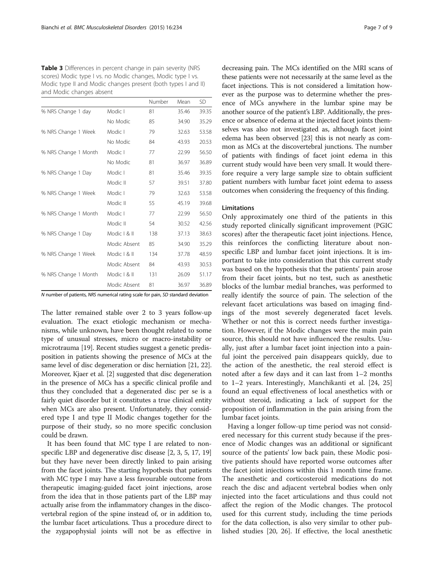<span id="page-6-0"></span>Table 3 Differences in percent change in pain severity (NRS scores) Modic type I vs. no Modic changes, Modic type I vs. Modic type II and Modic changes present (both types I and II) and Modic changes absent

|                      |              | Number | Mean  | <b>SD</b> |
|----------------------|--------------|--------|-------|-----------|
| % NRS Change 1 day   | Modic I      | 81     | 35.46 | 39.35     |
|                      | No Modic     | 85     | 34.90 | 35.29     |
| % NRS Change 1 Week  | Modic I      | 79     | 32.63 | 53.58     |
|                      | No Modic     | 84     | 43.93 | 20.53     |
| % NRS Change 1 Month | Modic I      | 77     | 22.99 | 56.50     |
|                      | No Modic     | 81     | 36.97 | 36.89     |
| % NRS Change 1 Day   | Modic I      | 81     | 35.46 | 39.35     |
|                      | Modic II     | 57     | 39.51 | 37.80     |
| % NRS Change 1 Week  | Modic I      | 79     | 32.63 | 53.58     |
|                      | Modic II     | 55     | 45.19 | 39.68     |
| % NRS Change 1 Month | Modic I      | 77     | 22.99 | 56.50     |
|                      | Modic II     | 54     | 30.52 | 42.56     |
| % NRS Change 1 Day   | Modic   & II | 138    | 37.13 | 38.63     |
|                      | Modic Absent | 85     | 34.90 | 35.29     |
| % NRS Change 1 Week  | Modic   & II | 134    | 37.78 | 48.59     |
|                      | Modic Absent | 84     | 43.93 | 30.53     |
| % NRS Change 1 Month | Modic   & II | 131    | 26.09 | 51.17     |
|                      | Modic Absent | 81     | 36.97 | 36.89     |

N number of patients, NRS numerical rating scale for pain, SD standard deviation

The latter remained stable over 2 to 3 years follow-up evaluation. The exact etiologic mechanism or mechanisms, while unknown, have been thought related to some type of unusual stresses, micro or macro-instability or microtrauma [[19](#page-8-0)]. Recent studies suggest a genetic predisposition in patients showing the presence of MCs at the same level of disc degeneration or disc herniation [\[21, 22](#page-8-0)]. Moreover, Kjaer et al. [\[2](#page-7-0)] suggested that disc degeneration in the presence of MCs has a specific clinical profile and thus they concluded that a degenerated disc per se is a fairly quiet disorder but it constitutes a true clinical entity when MCs are also present. Unfortunately, they considered type I and type II Modic changes together for the purpose of their study, so no more specific conclusion could be drawn.

It has been found that MC type I are related to nonspecific LBP and degenerative disc disease [\[2,](#page-7-0) [3, 5, 17, 19](#page-8-0)] but they have never been directly linked to pain arising from the facet joints. The starting hypothesis that patients with MC type I may have a less favourable outcome from therapeutic imaging-guided facet joint injections, arose from the idea that in those patients part of the LBP may actually arise from the inflammatory changes in the discovertebral region of the spine instead of, or in addition to, the lumbar facet articulations. Thus a procedure direct to the zygapophysial joints will not be as effective in

decreasing pain. The MCs identified on the MRI scans of these patients were not necessarily at the same level as the facet injections. This is not considered a limitation however as the purpose was to determine whether the presence of MCs anywhere in the lumbar spine may be another source of the patient's LBP. Additionally, the presence or absence of edema at the injected facet joints themselves was also not investigated as, although facet joint edema has been observed [[23](#page-8-0)] this is not nearly as common as MCs at the discovertebral junctions. The number of patients with findings of facet joint edema in this current study would have been very small. It would therefore require a very large sample size to obtain sufficient patient numbers with lumbar facet joint edema to assess outcomes when considering the frequency of this finding.

#### Limitations

Only approximately one third of the patients in this study reported clinically significant improvement (PGIC scores) after the therapeutic facet joint injections. Hence, this reinforces the conflicting literature about nonspecific LBP and lumbar facet joint injections. It is important to take into consideration that this current study was based on the hypothesis that the patients' pain arose from their facet joints, but no test, such as anesthetic blocks of the lumbar medial branches, was performed to really identify the source of pain. The selection of the relevant facet articulations was based on imaging findings of the most severely degenerated facet levels. Whether or not this is correct needs further investigation. However, if the Modic changes were the main pain source, this should not have influenced the results. Usually, just after a lumbar facet joint injection into a painful joint the perceived pain disappears quickly, due to the action of the anesthetic, the real steroid effect is noted after a few days and it can last from 1–2 months to 1–2 years. Interestingly, Manchikanti et al. [[24, 25](#page-8-0)] found an equal effectiveness of local anesthetics with or without steroid, indicating a lack of support for the proposition of inflammation in the pain arising from the lumbar facet joints.

Having a longer follow-up time period was not considered necessary for this current study because if the presence of Modic changes was an additional or significant source of the patients' low back pain, these Modic positive patients should have reported worse outcomes after the facet joint injections within this 1 month time frame. The anesthetic and corticosteroid medications do not reach the disc and adjacent vertebral bodies when only injected into the facet articulations and thus could not affect the region of the Modic changes. The protocol used for this current study, including the time periods for the data collection, is also very similar to other published studies [\[20, 26](#page-8-0)]. If effective, the local anesthetic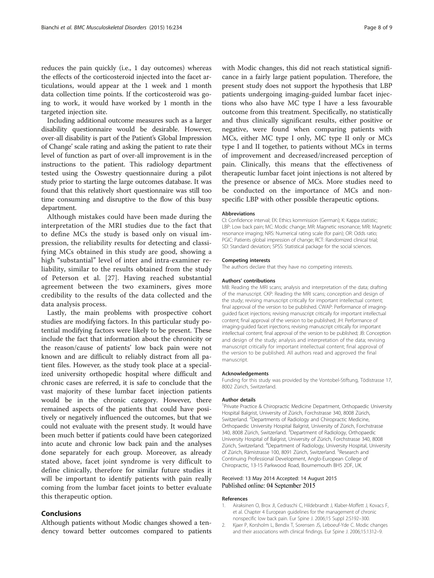<span id="page-7-0"></span>reduces the pain quickly (i.e., 1 day outcomes) whereas the effects of the corticosteroid injected into the facet articulations, would appear at the 1 week and 1 month data collection time points. If the corticosteroid was going to work, it would have worked by 1 month in the targeted injection site.

Including additional outcome measures such as a larger disability questionnaire would be desirable. However, over-all disability is part of the Patient's Global Impression of Change' scale rating and asking the patient to rate their level of function as part of over-all improvement is in the instructions to the patient. This radiology department tested using the Oswestry questionnaire during a pilot study prior to starting the large outcomes database. It was found that this relatively short questionnaire was still too time consuming and disruptive to the flow of this busy department.

Although mistakes could have been made during the interpretation of the MRI studies due to the fact that to define MCs the study is based only on visual impression, the reliability results for detecting and classifying MCs obtained in this study are good, showing a high "substantial" level of inter and intra-examiner reliability, similar to the results obtained from the study of Peterson et al. [[27\]](#page-8-0). Having reached substantial agreement between the two examiners, gives more credibility to the results of the data collected and the data analysis process.

Lastly, the main problems with prospective cohort studies are modifying factors. In this particular study potential modifying factors were likely to be present. These include the fact that information about the chronicity or the reason/cause of patients' low back pain were not known and are difficult to reliably distract from all patient files. However, as the study took place at a specialized university orthopedic hospital where difficult and chronic cases are referred, it is safe to conclude that the vast majority of these lumbar facet injection patients would be in the chronic category. However, there remained aspects of the patients that could have positively or negatively influenced the outcomes, but that we could not evaluate with the present study. It would have been much better if patients could have been categorized into acute and chronic low back pain and the analyses done separately for each group. Moreover, as already stated above, facet joint syndrome is very difficult to define clinically, therefore for similar future studies it will be important to identify patients with pain really coming from the lumbar facet joints to better evaluate this therapeutic option.

#### Conclusions

Although patients without Modic changes showed a tendency toward better outcomes compared to patients with Modic changes, this did not reach statistical significance in a fairly large patient population. Therefore, the present study does not support the hypothesis that LBP patients undergoing imaging-guided lumbar facet injections who also have MC type I have a less favourable outcome from this treatment. Specifically, no statistically and thus clinically significant results, either positive or negative, were found when comparing patients with MCs, either MC type I only, MC type II only or MCs type I and II together, to patients without MCs in terms of improvement and decreased/increased perception of pain. Clinically, this means that the effectiveness of therapeutic lumbar facet joint injections is not altered by the presence or absence of MCs. More studies need to be conducted on the importance of MCs and nonspecific LBP with other possible therapeutic options.

#### Abbreviations

CI: Confidence interval; EK: Ethics kommission (German); K: Kappa statistic; LBP: Low back pain; MC: Modic change; MR: Magnetic resonance; MRI: Magnetic resonance imaging; NRS: Numerical rating scale (for pain); OR: Odds ratio; PGIC: Patients global impression of change; RCT: Randomized clinical trial; SD: Standard deviation; SPSS: Statistical package for the social sciences.

#### Competing interests

The authors declare that they have no competing interests.

#### Authors' contributions

MB: Reading the MRI scans; analysis and interpretation of the data; drafting of the manuscript. CKP: Reading the MRI scans; conception and design of the study; revising manuscript critically for important intellectual content; final approval of the version to be published. CWAP: Performance of imagingguided facet injections; revising manuscript critically for important intellectual content; final approval of the version to be published; JH: Performance of imaging-guided facet injections; revising manuscript critically for important intellectual content; final approval of the version to be published; JB: Conception and design of the study; analysis and interpretation of the data; revising manuscript critically for important intellectual content; final approval of the version to be published. All authors read and approved the final manuscript.

#### Acknowledgements

Funding for this study was provided by the Vontobel-Stiftung, Tödistrasse 17, 8002 Zürich, Switzerland.

#### Author details

<sup>1</sup> Private Practice & Chiropractic Medicine Department, Orthopaedic University Hospital Balgrist, University of Zürich, Forchstrasse 340, 8008 Zürich, Switzerland.<sup>2</sup> Departments of Radiology and Chiropractic Medicine Orthopaedic University Hospital Balgrist, University of Zürich, Forchstrasse 340, 8008 Zürich, Switzerland. <sup>3</sup>Department of Radiology, Orthopaedic University Hospital of Balgrist, University of Zürich, Forchstrasse 340, 8008 Zürich, Switzerland. <sup>4</sup>Department of Radiology, University Hospital, University of Zürich, Rämistrasse 100, 8091 Zürich, Switzerland. <sup>5</sup>Research and Continuing Professional Development, Anglo-European College of Chiropractic, 13-15 Parkwood Road, Bournemouth BH5 2DF, UK.

#### Received: 13 May 2014 Accepted: 14 August 2015 Published online: 04 September 2015

#### References

- 1. Airaksinen O, Brox JI, Cedraschi C, Hildebrandt J, Klaber-Moffett J, Kovacs F, et al. Chapter 4 European guidelines for the management of chronic nonspecific low back pain. Eur Spine J. 2006;15 Suppl 2:S192–300.
- 2. Kjaer P, Korsholm L, Bendix T, Sorensen JS, Leboeuf-Yde C. Modic changes and their associations with clinical findings. Eur Spine J. 2006;15:1312–9.